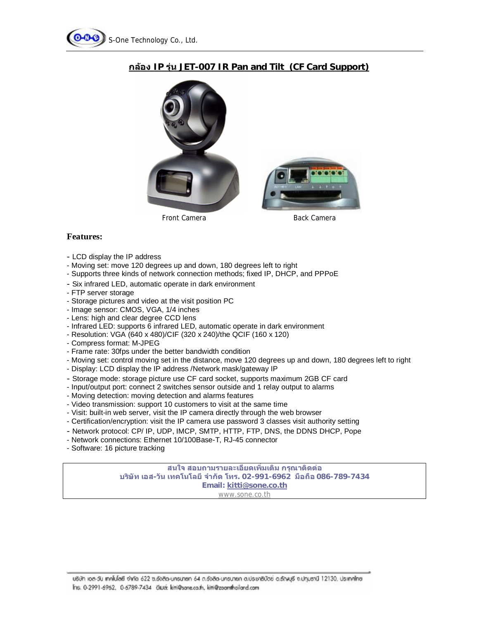

## **กลอง IP รุน JET-007 IR Pan and Tilt (CF Card Support)**

## **Features:**

- LCD display the IP address
- Moving set: move 120 degrees up and down, 180 degrees left to right
- Supports three kinds of network connection methods; fixed IP, DHCP, and PPPoE
- Six infrared LED, automatic operate in dark environment
- FTP server storage
- Storage pictures and video at the visit position PC
- Image sensor: CMOS, VGA, 1/4 inches
- Lens: high and clear degree CCD lens
- Infrared LED: supports 6 infrared LED, automatic operate in dark environment
- Resolution: VGA (640 x 480)/CIF (320 x 240)/the QCIF (160 x 120)
- Compress format: M-JPEG
- Frame rate: 30fps under the better bandwidth condition
- Moving set: control moving set in the distance, move 120 degrees up and down, 180 degrees left to right
- Display: LCD display the IP address /Network mask/gateway IP
- Storage mode: storage picture use CF card socket, supports maximum 2GB CF card
- Input/output port: connect 2 switches sensor outside and 1 relay output to alarms
- Moving detection: moving detection and alarms features
- Video transmission: support 10 customers to visit at the same time
- Visit: built-in web server, visit the IP camera directly through the web browser
- Certification/encryption: visit the IP camera use password 3 classes visit authority setting
- Network protocol: CP/ IP, UDP, IMCP, SMTP, HTTP, FTP, DNS, the DDNS DHCP, Pope
- Network connections: Ethernet 10/100Base-T, RJ-45 connector
- Software: 16 picture tracking

**สนใจ สอบถามรายละเอียดเพิ่มเติม กรุณาติดตอ บริษัท เอส-วัน เทคโนโลยีจํากัด โทร. 02-991-6962 มือถือ 086-789-7434 Email: [kitti@sone.co.th](mailto:kitti@sone.co.th)** [www.sone.co.th](http://www.sone.co.th)